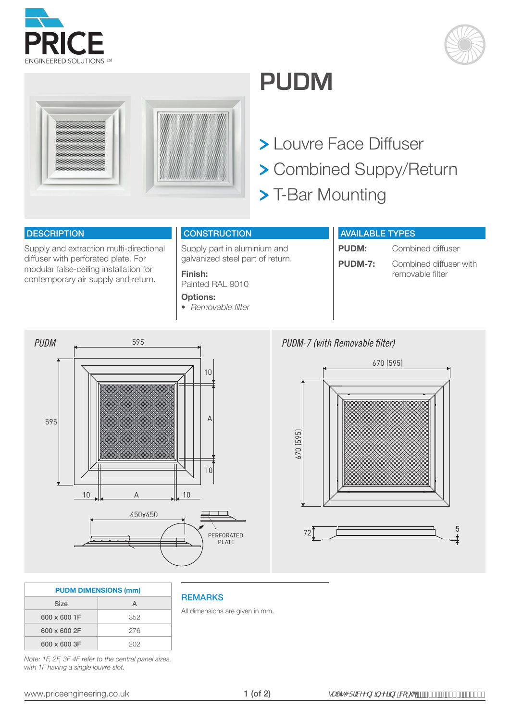





## **PUDM**

 Louvre Face Diffuser Combined Suppy/Return > T-Bar Mounting

## **DESCRIPTION**

Supply and extraction multi-directional diffuser with perforated plate. For modular false-ceiling installation for contemporary air supply and return.

## **CONSTRUCTION**

Supply part in aluminium and galvanized steel part of return.

**Finish:**  Painted RAL 9010 **Options:** 

*• Removable filter*

**REMARKS** 

All dimensions are given in mm.

## AVAILABLE TYPES

**PUDM:** Combined diffuser **PUDM-7:** Combined diffuser with removable filter





| <b>PUDM DIMENSIONS (mm)</b> |     |  |  |  |  |  |  |  |
|-----------------------------|-----|--|--|--|--|--|--|--|
| Size                        | А   |  |  |  |  |  |  |  |
| 600 x 600 1F                | 352 |  |  |  |  |  |  |  |
| 600 x 600 2F                | 276 |  |  |  |  |  |  |  |
| 600 x 600 3F                | 202 |  |  |  |  |  |  |  |

*Note: 1F, 2F, 3F 4F refer to the central panel sizes,* with 1F having a single louvre slot.